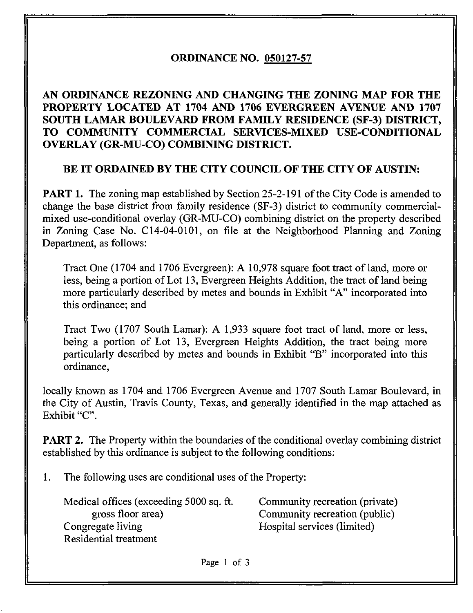# ORDINANCE NO. 050127-57

# AN ORDINANCE REZONING AND CHANGING THE ZONING MAP FOR THE PROPERTY LOCATED AT 1704 AND 1706 EVERGREEN AVENUE AND 1707 SOUTH LAMAR BOULEVARD FROM FAMILY RESIDENCE (SF-3) DISTRICT, TO COMMUNITY COMMERCIAL SERVICES-MIXED USE-CONDITIONAL OVERLAY (GR-MU-CO) COMBINING DISTRICT.

### BE IT ORDAINED BY THE CITY COUNCIL OF THE CITY OF AUSTIN:

**PART 1.** The zoning map established by Section 25-2-191 of the City Code is amended to change the base district from family residence (SF-3) district to community commercialmixed use-conditional overlay (GR-MU-CO) combining district on the property described in Zoning Case No. C14-04-0101, on file at the Neighborhood Planning and Zoning Department, as follows:

Tract One (1704 and 1706 Evergreen): A 10,978 square foot tract of land, more or less, being a portion of Lot 13, Evergreen Heights Addition, the tract of land being more particularly described by metes and bounds in Exhibit "A" incorporated into this ordinance; and

Tract Two (1707 South Lamar): A 1,933 square foot tract of land, more or less, being a portion of Lot 13, Evergreen Heights Addition, the tract being more particularly described by metes and bounds in Exhibit "B" incorporated into this ordinance,

locally known as 1704 and 1706 Evergreen Avenue and 1707 South Lamar Boulevard, in the City of Austin, Travis County, Texas, and generally identified in the map attached as Exhibit "C".

**PART 2.** The Property within the boundaries of the conditional overlay combining district established by this ordinance is subject to the following conditions:

1. The following uses are conditional uses of the Property:

Medical offices (exceeding 5000 sq. ft. Community recreation (private) gross floor area) Community recreation (public) Congregate living Hospital services (limited) Residential treatment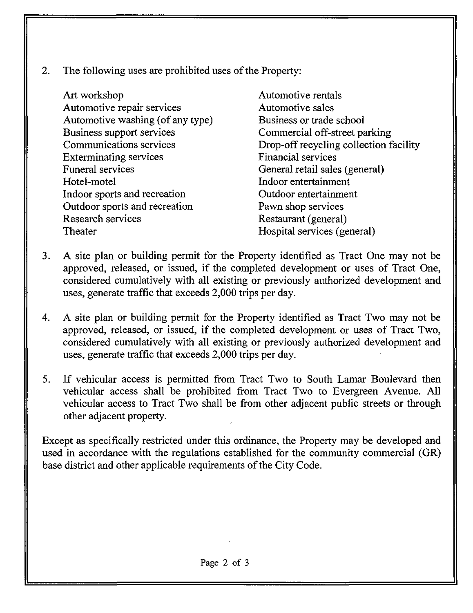- 2. The following uses are prohibited uses of the Property:
	- Art workshop Automotive repair services Automotive washing (of any type) Business support services Communications services Exterminating services Funeral services Hotel-motel Indoor sports and recreation Outdoor sports and recreation Research services Theater

Automotive rentals Automotive sales Business or trade school Commercial off-street parking Drop-off recycling collection facility Financial services General retail sales (general) Indoor entertainment Outdoor entertainment Pawn shop services Restaurant (general) Hospital services (general)

- 3. A site plan or building permit for the Property identified as Tract One may not be approved, released, or issued, if the completed development or uses of Tract One, considered cumulatively with all existing or previously authorized development and uses, generate traffic that exceeds 2,000 trips per day.
- 4. A site plan or building permit for the Property identified as Tract Two may not be approved, released, or issued, if the completed development or uses of Tract Two, considered cumulatively with all existing or previously authorized development and uses, generate traffic that exceeds 2,000 trips per day.
- 5. If vehicular access is permitted from Tract Two to South Lamar Boulevard then vehicular access shall be prohibited from Tract Two to Evergreen Avenue. All vehicular access to Tract Two shall be from other adjacent public streets or through other adjacent property.

Except as specifically restricted under this ordinance, the Property may be developed and used in accordance with the regulations established for the community commercial (GR) base district and other applicable requirements of the City Code.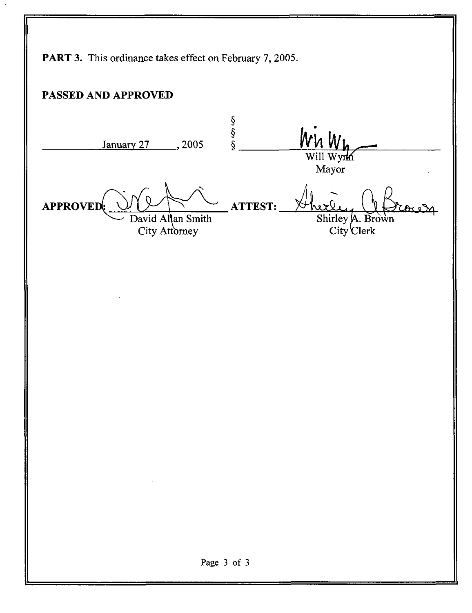PART 3. This ordinance takes effect on February 7, 2005. PASSED AND APPROVED S<br>S<br>S<br>S Wn Wi January 27 \_\_\_\_\_ 2005 Will Wyrk Mayor APPROVED: ATTEST: David Allan Smith Shirley  $\mathsf{A}$ . Brown City Clerk City Attorney Page 3 of 3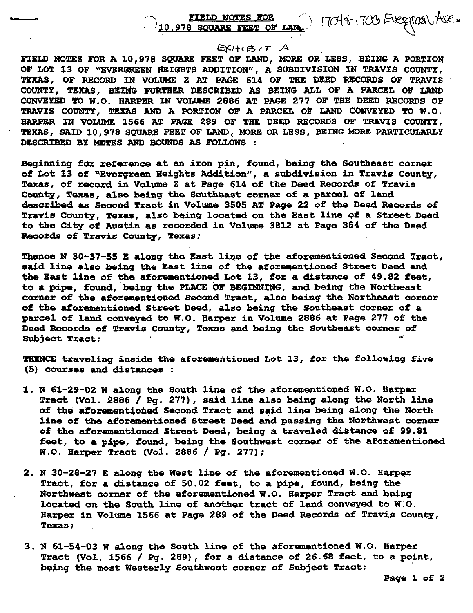#### FIELD NOTES FOR 170141700 EJEOGROU AJE. ! 0, 978 SQUARE FEET OF LANL

### $EXH \times G$   $\tau$   $A$

FIELD NOTES FOR A 10,978 SQUARE FEET OF LAND, MORE OR LESS, BEING A PORTION OF LOT 13 OF "EVERGREEN HEIGHTS ADDITION", A SUBDIVISION IN TRAVIS COUNTY, TEXAS, OF RECORD IN VOLUME Z AT PAGE 614 OF THE DEED RECORDS OF TRAVIS COUNTY, TEXAS, BEING FURTHER DESCRIBED AS BEING ALL OF A PARCEL OF LAND CONVEYED TO W.O. HARPER IN VOLUME 2886 AT PAGE 277 OF THE DEED RECORDS OF TRAVIS COUNTY, TEXAS AND A PORTION OF A PARCEL OF LAND CONVEYED TO W.O. HARPER IN VOLUME 1566 AT PAGE 289 OF THE DEED RECORDS OF TRAVIS COUNTY, TEXAS, SAID 10,978 SQUARE FEET OF LAND, MORE OR LESS, BEING MORE PARTICULARLY DESCRIBED BY METES AND BOUNDS AS FOLLOWS :

Beginning for reference at an iron pin, found, being the Southeast corner of Lot 13 of "Evergreen Heights Addition", a subdivision in Travis County, Texas, of record in Volume Z at Page 614 of the Deed Records of Travis County, Texas, also being the Southeast corner of a parcel of land described as Second Tract in Volume 3505 AT Page 22 of the Deed Records of Travis County, Texas, also being located on the East line pf a Street Deed to the City of Austin as recorded in Volume 3812 at Page 354 of the Deed Records of Travis County, Texas;

Thence N 30-37-55 E along the East line of the aforementioned Second Tract, said line also being the East line of the aforementioned Street Deed and the East line of the aforementioned Lot 13, for a distance of 49.82 feet, to a pipe, found, being the PLACE OF BEGINNING, and being the Northeast corner of the aforementioned Second Tract, also being the Northeast corner of the aforementioned Street Deed, also being the Southeast corner of a parcel of land conveyed to W.O. Harper in Volume 2886 at Page 277 of the Deed Records of Travis County, Texas and being the Southeast corner of Subject Tract;

THENCE traveling inside the aforementioned Lot 13, for the following five (5) courses and distances :

- 1. N 61-29-02 W along the South line of the aforementioned W.O. Harper Tract (Vol. 2886 / Pg. 277), said line also being along the North line of the aforementioned Second Tract and said line being along the North line of the aforementioned Street Deed and passing the Northwest corner of the aforementioned Street Deed, being a traveled distance of 99.81 feet, to a pipe, found, being the Southwest corner of the aforementioned W.O. Harper Tract (Vol. 2886 / Pg. 277);
- 2. N 30-28-27 E along the West line of the aforementioned W.O. Harper Tract, for a distance of 50.02 feet, to a pipe, found, being the Northwest corner of the aforementioned W.O. Harper Tract and being located on the South line of another tract of land conveyed to W.O. Harper in Volume 1566 at Page 289 of the Deed Records of Travis County, Texas;
- 3. N 61-54-03 W along the South line of the aforementioned W.O. Harper Tract (Vol. 1566 / Pg. 289), for a distance of 26.68 feet, to a point, the most Westerly Southwest corner of Subject Tract;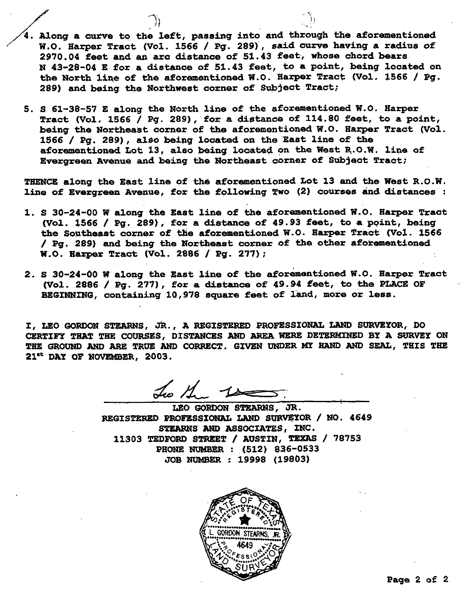- Along a curve to the left, passing into and through the aforementioned W.O. Harper Tract (Vol. 1566 / Pg. 289) , said curve having a radius of 2970.04 feet and an arc distance of 51.43 feet, whose chord bears N 43-28-04 E for a distance of 51.43 feet, to a point, being located on the North line of the aforementioned W.O. Harper Tract (Vol. 1566 / Pg. 289) and being the Northwest corner of Subject Tract;
- 5. S 61-38-57 E along the North line of the aforementioned W.O. Harper Tract (Vol. 1566 / Pg. 289), for a distance of 114.80 feet, to a point, being the Northeast corner of the aforementioned W.O. Harper Tract (Vol. 1566 / Pg. 289) , also being located on the East line of the aforementioned Lot 13, also being located on the West R.O.W. line of Evergreen Avenue and being the Northeast corner of Subject Tract;

THENCE along the East line of the aforementioned Lot 13 and the West R.O.W. line of Evergreen Avenue, for the following TWO (2) courses and distances :

- 1. S 30-24-00 W along the East line of the aforementioned W.O. Harper Tract (Vol. 1566 / Pg. 289), for a distance of 49.93 feet, to a ppint, being the Southeast corner of the aforementioned W.O. Harper Tract (Vol. 1566 / Pg. 289) and being the Northeast corner of the other aforementioned W.O. Harper Tract (Vol. 2886 / Pg. 277);
- 2. S 30-24-00 W along the East line of the aforementioned W.O. Harper Tract (Vol. 2886 / Pg. 277), for a distance of 49.94 feet, to the PLACE OF BEGINNING, containing 10,978 square feet of land, more or less.

I, LEO GORDON STEARNS, JR., A REGISTERED PROFESSIONAL LAND SURVEYOR, DO CERTIFY THAT THE COURSES, DISTANCES AND AREA WERE DETERMINED BY A SURVEY ON THE GROUND AND ARE TRUE AND CORRECT. GIVEN UNDER MY HAND AND SEAL, THIS THE 21<sup>st</sup> DAY OF NOVEMBER, 2003.

Two the 10

LEO GORDON STEARNS, JR. REGISTERED PROFESSIONAL LAND SURVEYOR / NO. 4649 STEARNS AND ASSOCIATES, INC. 11303 TEDFORD STREET / AUSTIN, TEXAS / 78753 PHONE NUMBER : (512) 836-0533 JOB NUMBER : 19998 (19803)

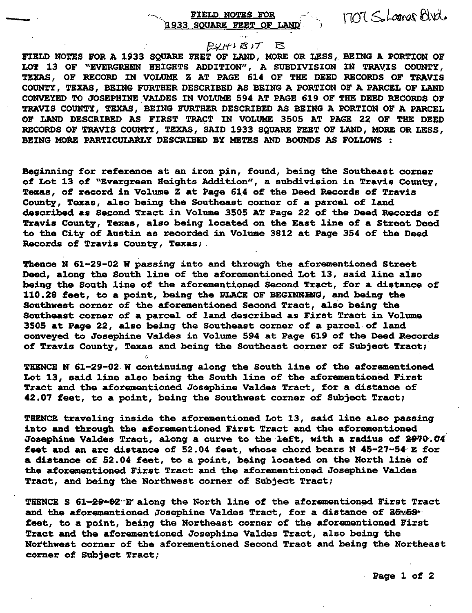### FIELD NOTES FOR 1933 SQUARE FEET OF LAND

1707 SoLamar Blvd.

### $E(Y|Y)$  $B$  $T$  $B$

FIELD NOTES FOR A 1933 SQUARE FEET OF LAND, MORE OR LESS, BEING A PORTION OF LOT 13 OF "EVERGREEN HEIGHTS ADDITION", A SUBDIVISION IN TRAVIS COUNTY, TEXAS, OF RECORD IN VOLUME Z AT PAGE 614 OF THE DEED RECORDS OF TRAVIS COUNTY, TEXAS, BEING FURTHER DESCRIBED AS BEING A PORTION OF A PARCEL OF LAND CONVEYED TO JOSEPHINE VALDES IN VOLUME 594 AT PAGE 619 OF THE DEED RECORDS OF TRAVIS COUNTY, TEXAS, BEING FURTHER DESCRIBED AS BEING A PORTION OF A PARCEL OF LAND DESCRIBED AS FIRST TRACT IN VOLUME 3505 AT PAGE 22 OF THE DEED RECORDS OF TRAVIS COUNTY, TEXAS, SAID 1933 SQUARE FEET OF LAND, MORE OR LESS, BEING MORE PARTICULARLY DESCRIBED BY METES AND BOUNDS AS FOLLOWS :

Beginning for reference at an iron pin, found, being the Southeast corner of Lot 13 of "Evergreen Heights Addition", a subdivision in Travis County, Texas, of record in Volume Z at Page 614 of the Deed Records of Travis County, Texas, also being the Southeast corner of a parcel of land described as Second Tract in Volume 3505 AT Page 22 of the Deed Records of Travis County, Texas, also being located on the East line of a Street Deed to the City of Austin as recorded in Volume 3812 at Page 354 of the Deed Records of Travis County, Texas;

Thence N 61-29-02 W passing into and through the aforementioned Street Deed, along the South line of the aforementioned Lot 13, said line also being the South line of the aforementioned Second Tract, for a distance of 110.28 feet, to a point, being the PLACE OF BEGINNING, and being the Southwest corner of the aforementioned Second Tract, also being the Southeast corner of a parcel of land described as First Tract in Volume 3505 at Page 22, also being the Southeast corner of a parcel of land conveyed to Josephine Valdes in Volume 594 at Page 619 of the Deed Records of Travis County, Texas and being the Southeast corner of Subject Tract;

THENCE N 61-29-02 W continuing along the South line of the aforementioned Lot 13, said line also being the South line of the aforementioned First Tract and the aforementioned Josephine Valdes Tract, for a distance of 42.07 feet, to a point, being the Southwest corner of Subject Tract;

THENCE traveling inside the aforementioned Lot 13, said line also passing into and through the aforementioned First Tract and the aforementioned Josephine Valdes Tract, along a curve to the left, with a radius of 2970.04 feet and an arc distance of 52.04 feet, whose chord bears N 45-27-54 E for a distance of 52.04 feet, to a point, being located on the North line of the aforementioned First Tract and the aforementioned Josephine Valdes Tract, and being the Northwest corner of Subject Tract;

THENCE S 61-29-62 F along the North line of the aforementioned First Tract and the aforementioned Josephine Valdes Tract, for a distance of 35%59\* feet, to a point, being the Northeast corner of the aforementioned First Tract and the aforementioned Josephine Valdes Tract, also being the Northwest corner of the aforementioned Second Tract and being the Northeast corner of Subject Tract;

Page 1 of 2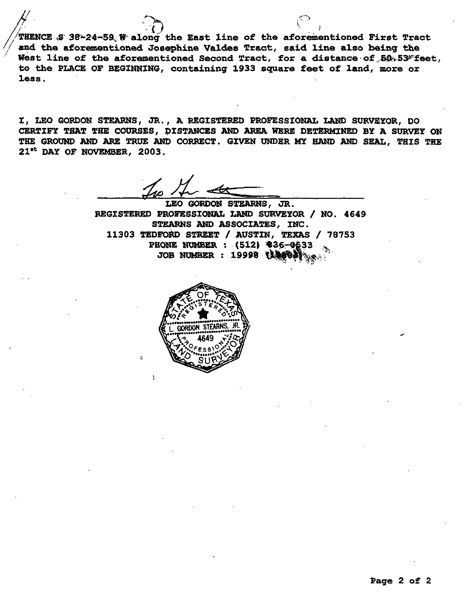THENCE  $$38-24-59$  W along the East line of the aforementioned First Tract and the aforementioned Josephine Valdes Tract, said line also being the West line of the aforementioned Second Tract, for a distance of  $50.53$ \*feet, to the PLACE OF BEGINNING, containing 1933 square feet of land, more or less.

I, LEO GORDON STEARNS, JR., A REGISTERED PROFESSIONAL LAND SURVEYOR, DO CERTIFY THAT THE COURSES, DISTANCES AND AREA WERE DETERMINED BY A SURVEY ON THE GROUND AND ARE TRUE AND CORRECT. GIVEN UNDER MY HAND AND SEAL, THIS THE 21st DAY OF NOVEMBER, 2003.

LEO GORDON STEARNS, JR. REGISTERED PROFESSIONAL LAND SURVEYOR / NO. 4649 STEARNS AND ASSOCIATES, INC. 11303 TEDFORD STREET / AUSTIN, TEXAS / 78753 PHONE NUMBER : (512) \$36-0533 JOB NUMBER : 19998 (14803)